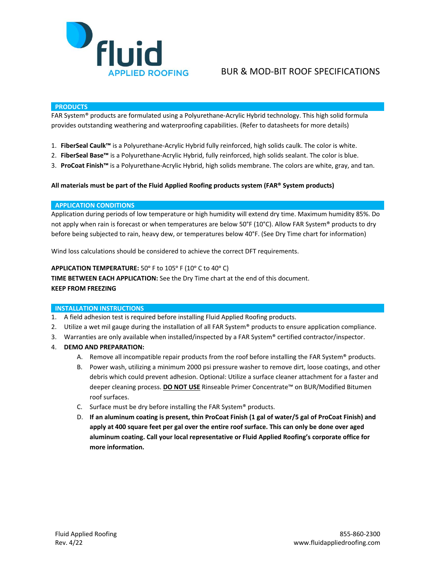

# BUR & MOD-BIT ROOF SPECIFICATIONS

#### **PRODUCTS**

FAR System® products are formulated using a Polyurethane-Acrylic Hybrid technology. This high solid formula provides outstanding weathering and waterproofing capabilities. (Refer to datasheets for more details)

- 1. **FiberSeal Caulk™** is a Polyurethane-Acrylic Hybrid fully reinforced, high solids caulk. The color is white.
- 2. **FiberSeal Base™** is a Polyurethane-Acrylic Hybrid, fully reinforced, high solids sealant. The color is blue.
- 3. **ProCoat Finish™** is a Polyurethane-Acrylic Hybrid, high solids membrane. The colors are white, gray, and tan.

### **All materials must be part of the Fluid Applied Roofing products system (FAR® System products)**

#### **APPLICATION CONDITIONS**

Application during periods of low temperature or high humidity will extend dry time. Maximum humidity 85%. Do not apply when rain is forecast or when temperatures are below 50°F (10°C). Allow FAR System® products to dry before being subjected to rain, heavy dew, or temperatures below 40°F. (See Dry Time chart for information)

Wind loss calculations should be considered to achieve the correct DFT requirements.

### APPLICATION TEMPERATURE: 50° F to 105° F (10° C to 40° C)

**TIME BETWEEN EACH APPLICATION:** See the Dry Time chart at the end of this document. **KEEP FROM FREEZING**

#### **INSTALLATION INSTRUCTIONS**

- 1. A field adhesion test is required before installing Fluid Applied Roofing products.
- 2. Utilize a wet mil gauge during the installation of all FAR System® products to ensure application compliance.
- 3. Warranties are only available when installed/inspected by a FAR System® certified contractor/inspector.
- 4. **DEMO AND PREPARATION:**
	- A. Remove all incompatible repair products from the roof before installing the FAR System® products.
	- B. Power wash, utilizing a minimum 2000 psi pressure washer to remove dirt, loose coatings, and other debris which could prevent adhesion. Optional: Utilize a surface cleaner attachment for a faster and deeper cleaning process. **DO NOT USE** Rinseable Primer Concentrate™ on BUR/Modified Bitumen roof surfaces.
	- C. Surface must be dry before installing the FAR System® products.
	- D. **If an aluminum coating is present, thin ProCoat Finish (1 gal of water/5 gal of ProCoat Finish) and apply at 400 square feet per gal over the entire roof surface. This can only be done over aged aluminum coating. Call your local representative or Fluid Applied Roofing's corporate office for more information.**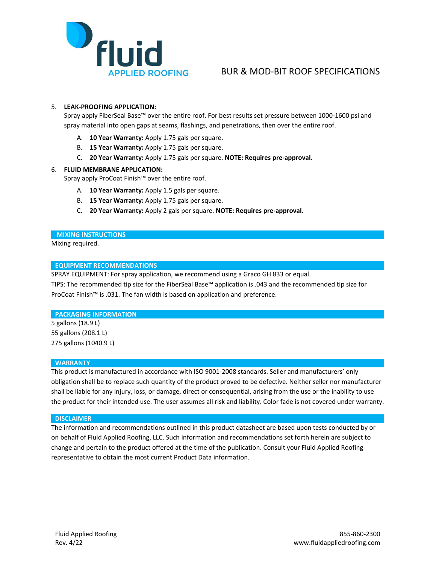

# BUR & MOD-BIT ROOF SPECIFICATIONS

## 5. **LEAK-PROOFING APPLICATION:**

Spray apply FiberSeal Base™ over the entire roof. For best results set pressure between 1000-1600 psi and spray material into open gaps at seams, flashings, and penetrations, then over the entire roof.

- A. **10 Year Warranty:** Apply 1.75 gals per square.
- B. **15 Year Warranty:** Apply 1.75 gals per square.
- C. **20 Year Warranty:** Apply 1.75 gals per square. **NOTE: Requires pre-approval.**

### 6. **FLUID MEMBRANE APPLICATION:**

Spray apply ProCoat Finish™ over the entire roof.

- A. **10 Year Warranty:** Apply 1.5 gals per square.
- B. **15 Year Warranty:** Apply 1.75 gals per square.
- C. **20 Year Warranty:** Apply 2 gals per square. **NOTE: Requires pre-approval.**

#### **MIXING INSTRUCTIONS**

Mixing required.

### **EQUIPMENT RECOMMENDATIONS**

SPRAY EQUIPMENT: For spray application, we recommend using a Graco GH 833 or equal.

TIPS: The recommended tip size for the FiberSeal Base™ application is .043 and the recommended tip size for ProCoat Finish™ is .031. The fan width is based on application and preference.

### **PACKAGING INFORMATION**

5 gallons (18.9 L) 55 gallons (208.1 L) 275 gallons (1040.9 L)

### **WARRANTY**

This product is manufactured in accordance with ISO 9001-2008 standards. Seller and manufacturers' only obligation shall be to replace such quantity of the product proved to be defective. Neither seller nor manufacturer shall be liable for any injury, loss, or damage, direct or consequential, arising from the use or the inability to use the product for their intended use. The user assumes all risk and liability. Color fade is not covered under warranty.

### **DISCLAIMER**

The information and recommendations outlined in this product datasheet are based upon tests conducted by or on behalf of Fluid Applied Roofing, LLC. Such information and recommendations set forth herein are subject to change and pertain to the product offered at the time of the publication. Consult your Fluid Applied Roofing representative to obtain the most current Product Data information.